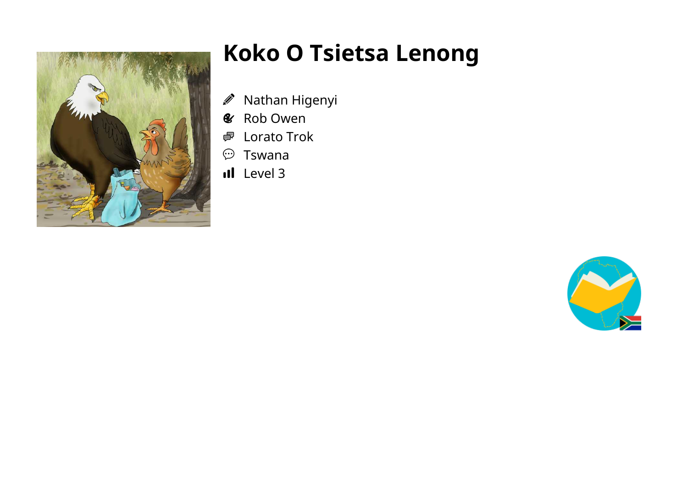

## **Koko O Tsietsa Lenong**

- Nathan Higenyi Ø
- Rob Owen  $\mathcal{C}$
- Lorato Trok 嚕
- $\odot$ Tswana
- Il Level 3

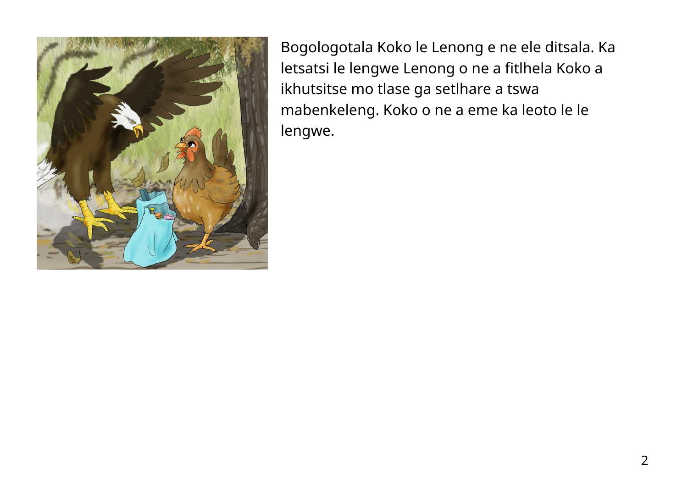

Bogologotala Koko le Lenong e ne ele ditsala. Ka letsatsi le lengwe Lenong o ne a fitlhela Koko a ikhutsitse mo tlase ga setlhare a tswa mabenkeleng. Koko o ne a eme ka leoto le le lengwe.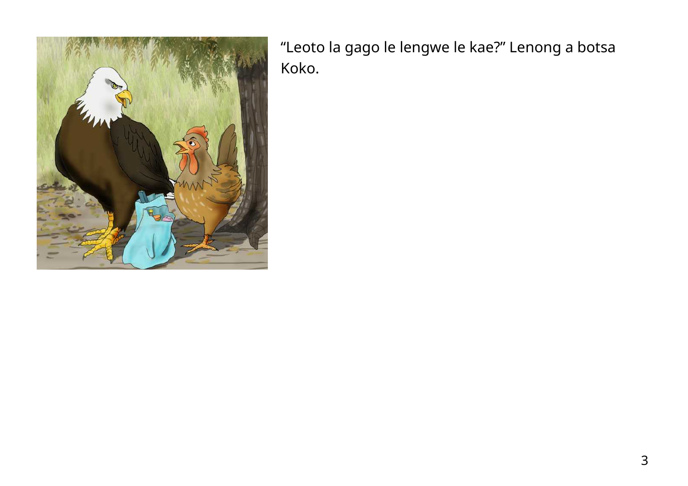

"Leoto la gago le lengwe le kae?" Lenong a botsa Koko.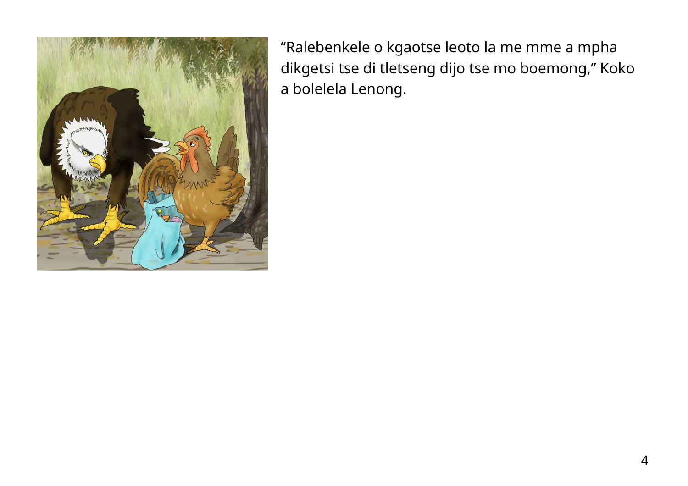

"Ralebenkele o kgaotse leoto la me mme a mpha dikgetsi tse di tletseng dijo tse mo boemong," Koko a bolelela Lenong.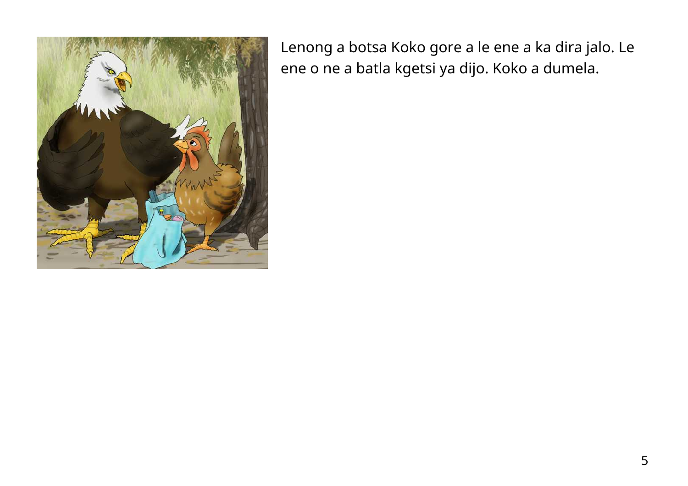

Lenong a botsa Koko gore a le ene a ka dira jalo. Le ene o ne a batla kgetsi ya dijo. Koko a dumela.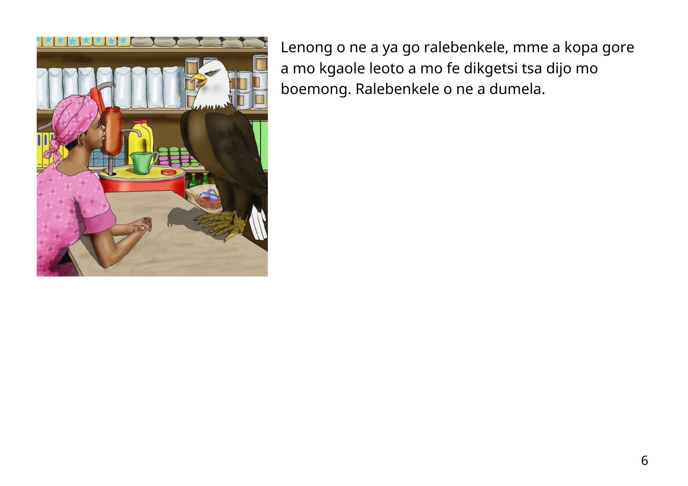

Lenong o ne a ya go ralebenkele, mme a kopa gore a mo kgaole leoto a mo fe dikgetsi tsa dijo mo boemong. Ralebenkele o ne a dumela.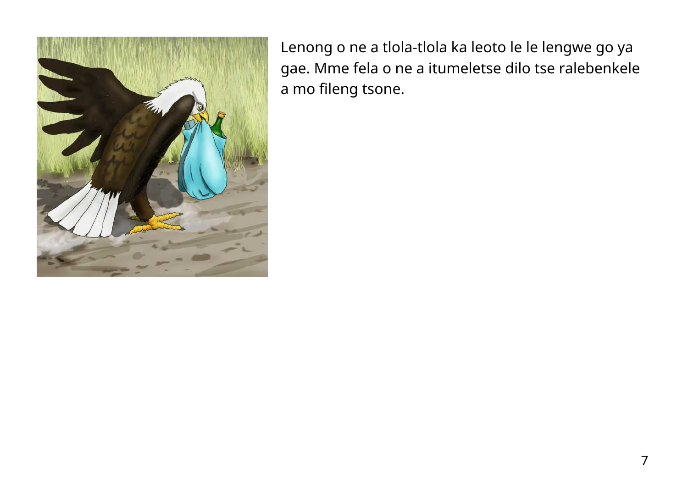

Lenong o ne a tlola-tlola ka leoto le le lengwe go ya gae. Mme fela o ne a itumeletse dilo tse ralebenkele a mo fileng tsone.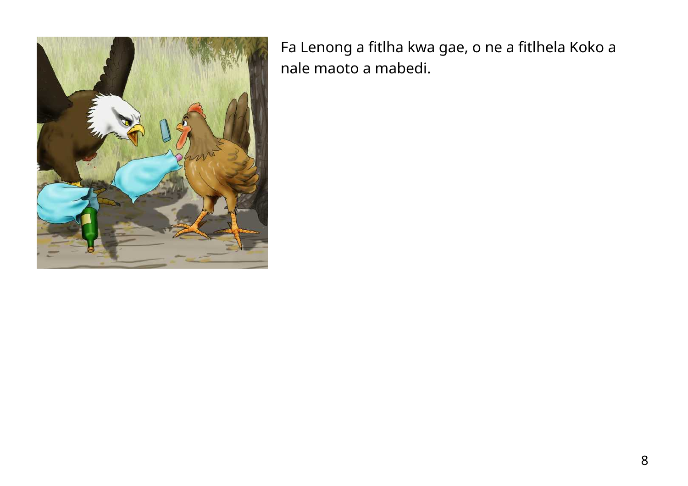

Fa Lenong a fitlha kwa gae, o ne a fitlhela Koko a nale maoto a mabedi.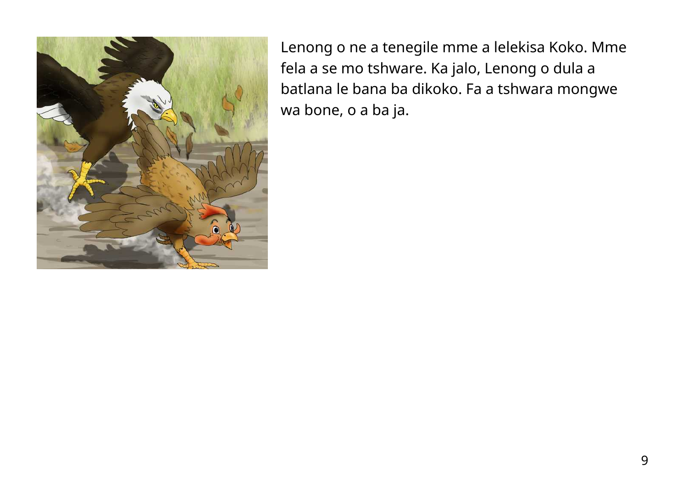

Lenong o ne a tenegile mme a lelekisa Koko. Mme fela a se mo tshware. Ka jalo, Lenong o dula a batlana le bana ba dikoko. Fa a tshwara mongwe wa bone, o a ba ja.